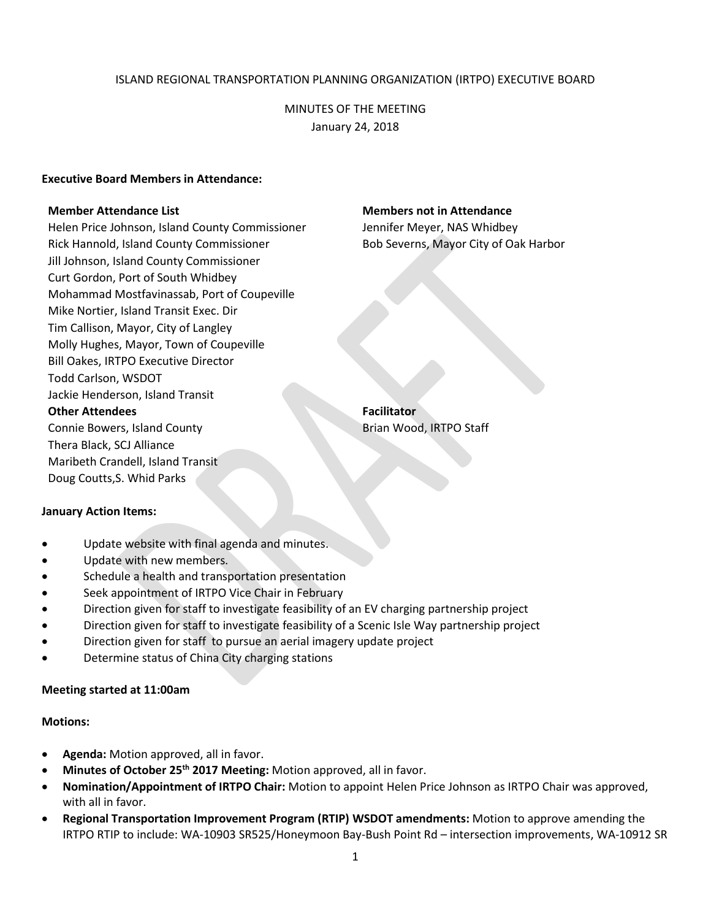### ISLAND REGIONAL TRANSPORTATION PLANNING ORGANIZATION (IRTPO) EXECUTIVE BOARD

MINUTES OF THE MEETING January 24, 2018

### **Executive Board Members in Attendance:**

Helen Price Johnson, Island County Commissioner Jennifer Meyer, NAS Whidbey Rick Hannold, Island County Commissioner **Bob Severns, Mayor City of Oak Harbor** Jill Johnson, Island County Commissioner Curt Gordon, Port of South Whidbey Mohammad Mostfavinassab, Port of Coupeville Mike Nortier, Island Transit Exec. Dir Tim Callison, Mayor, City of Langley Molly Hughes, Mayor, Town of Coupeville Bill Oakes, IRTPO Executive Director Todd Carlson, WSDOT Jackie Henderson, Island Transit **Other Attendees Facilitator** Connie Bowers, Island County **Brian Wood, IRTPO Staff** Brian Wood, IRTPO Staff

Thera Black, SCJ Alliance Maribeth Crandell, Island Transit Doug Coutts,S. Whid Parks

#### **January Action Items:**

- Update website with final agenda and minutes.
- Update with new members.
- Schedule a health and transportation presentation
- Seek appointment of IRTPO Vice Chair in February
- Direction given for staff to investigate feasibility of an EV charging partnership project
- Direction given for staff to investigate feasibility of a Scenic Isle Way partnership project
- Direction given for staff to pursue an aerial imagery update project
- Determine status of China City charging stations

#### **Meeting started at 11:00am**

#### **Motions:**

- **Agenda:** Motion approved, all in favor.
- **Minutes of October 25th 2017 Meeting:** Motion approved, all in favor.
- **Nomination/Appointment of IRTPO Chair:** Motion to appoint Helen Price Johnson as IRTPO Chair was approved, with all in favor.
- **Regional Transportation Improvement Program (RTIP) WSDOT amendments:** Motion to approve amending the IRTPO RTIP to include: WA-10903 SR525/Honeymoon Bay-Bush Point Rd – intersection improvements, WA-10912 SR

### **Member Attendance List Members not in Attendance**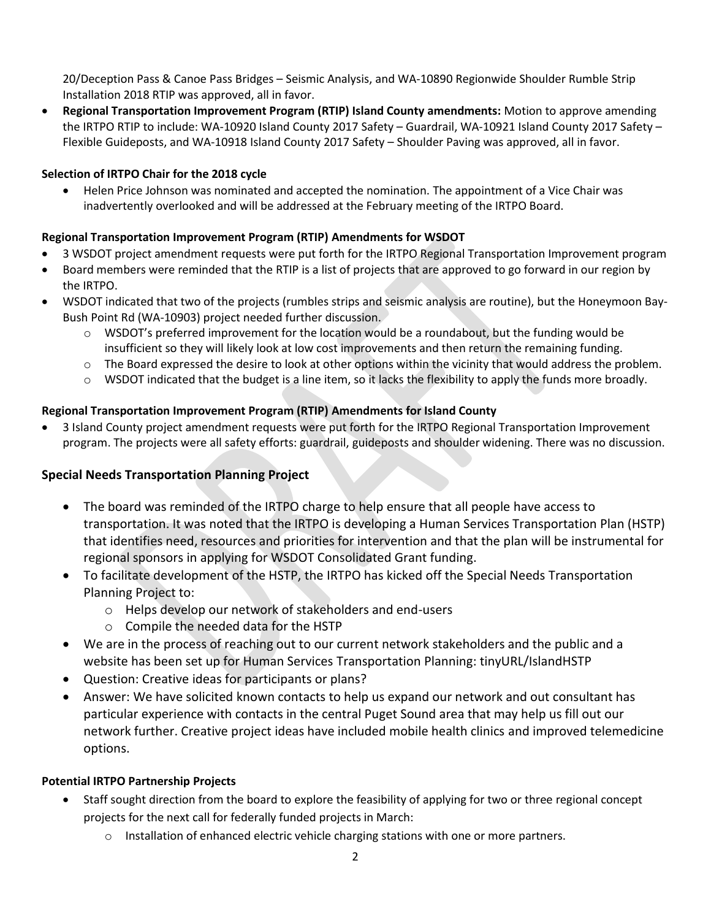20/Deception Pass & Canoe Pass Bridges – Seismic Analysis, and WA-10890 Regionwide Shoulder Rumble Strip Installation 2018 RTIP was approved, all in favor.

 **Regional Transportation Improvement Program (RTIP) Island County amendments:** Motion to approve amending the IRTPO RTIP to include: WA-10920 Island County 2017 Safety – Guardrail, WA-10921 Island County 2017 Safety – Flexible Guideposts, and WA-10918 Island County 2017 Safety – Shoulder Paving was approved, all in favor.

# **Selection of IRTPO Chair for the 2018 cycle**

 Helen Price Johnson was nominated and accepted the nomination. The appointment of a Vice Chair was inadvertently overlooked and will be addressed at the February meeting of the IRTPO Board.

# **Regional Transportation Improvement Program (RTIP) Amendments for WSDOT**

- 3 WSDOT project amendment requests were put forth for the IRTPO Regional Transportation Improvement program
- Board members were reminded that the RTIP is a list of projects that are approved to go forward in our region by the IRTPO.
- WSDOT indicated that two of the projects (rumbles strips and seismic analysis are routine), but the Honeymoon Bay-Bush Point Rd (WA-10903) project needed further discussion.
	- $\circ$  WSDOT's preferred improvement for the location would be a roundabout, but the funding would be insufficient so they will likely look at low cost improvements and then return the remaining funding.
	- o The Board expressed the desire to look at other options within the vicinity that would address the problem.
	- $\circ$  WSDOT indicated that the budget is a line item, so it lacks the flexibility to apply the funds more broadly.

# **Regional Transportation Improvement Program (RTIP) Amendments for Island County**

 3 Island County project amendment requests were put forth for the IRTPO Regional Transportation Improvement program. The projects were all safety efforts: guardrail, guideposts and shoulder widening. There was no discussion.

# **Special Needs Transportation Planning Project**

- The board was reminded of the IRTPO charge to help ensure that all people have access to transportation. It was noted that the IRTPO is developing a Human Services Transportation Plan (HSTP) that identifies need, resources and priorities for intervention and that the plan will be instrumental for regional sponsors in applying for WSDOT Consolidated Grant funding.
- To facilitate development of the HSTP, the IRTPO has kicked off the Special Needs Transportation Planning Project to:
	- o Helps develop our network of stakeholders and end-users
	- o Compile the needed data for the HSTP
- We are in the process of reaching out to our current network stakeholders and the public and a website has been set up for Human Services Transportation Planning: tinyURL/IslandHSTP
- Question: Creative ideas for participants or plans?
- Answer: We have solicited known contacts to help us expand our network and out consultant has particular experience with contacts in the central Puget Sound area that may help us fill out our network further. Creative project ideas have included mobile health clinics and improved telemedicine options.

## **Potential IRTPO Partnership Projects**

- Staff sought direction from the board to explore the feasibility of applying for two or three regional concept projects for the next call for federally funded projects in March:
	- $\circ$  Installation of enhanced electric vehicle charging stations with one or more partners.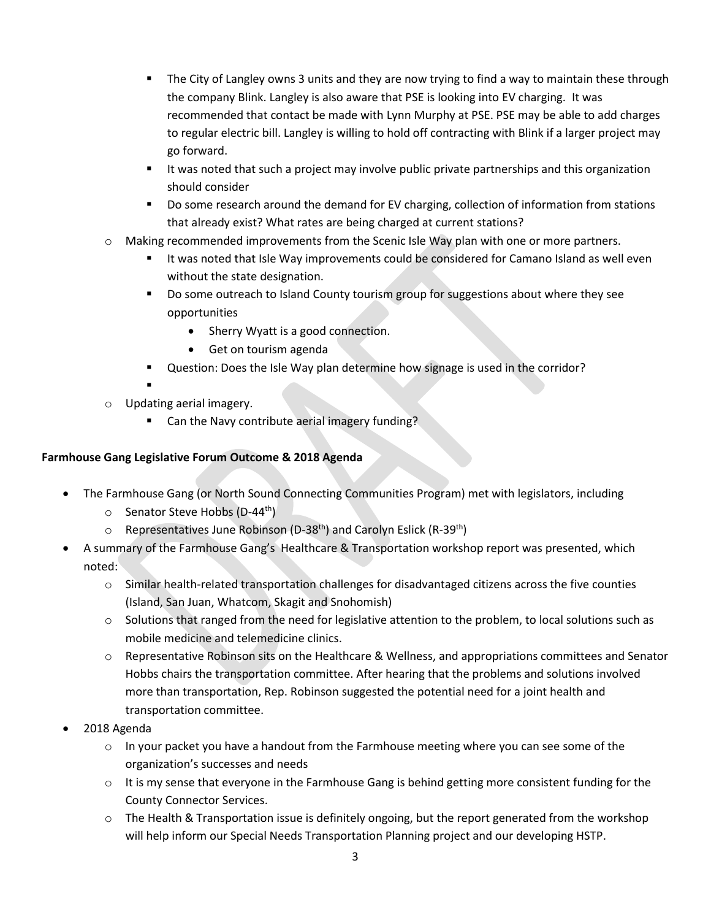- **The City of Langley owns 3 units and they are now trying to find a way to maintain these through** the company Blink. Langley is also aware that PSE is looking into EV charging. It was recommended that contact be made with Lynn Murphy at PSE. PSE may be able to add charges to regular electric bill. Langley is willing to hold off contracting with Blink if a larger project may go forward.
- **If was noted that such a project may involve public private partnerships and this organization** should consider
- Do some research around the demand for EV charging, collection of information from stations that already exist? What rates are being charged at current stations?
- o Making recommended improvements from the Scenic Isle Way plan with one or more partners.
	- It was noted that Isle Way improvements could be considered for Camano Island as well even without the state designation.
	- Do some outreach to Island County tourism group for suggestions about where they see opportunities
		- Sherry Wyatt is a good connection.
		- Get on tourism agenda
	- Question: Does the Isle Way plan determine how signage is used in the corridor?
- . o Updating aerial imagery.
	- Can the Navy contribute aerial imagery funding?

# **Farmhouse Gang Legislative Forum Outcome & 2018 Agenda**

- The Farmhouse Gang (or North Sound Connecting Communities Program) met with legislators, including
	- $\circ$  Senator Steve Hobbs (D-44<sup>th</sup>)
	- $\circ$  Representatives June Robinson (D-38<sup>th</sup>) and Carolyn Eslick (R-39<sup>th</sup>)
- A summary of the Farmhouse Gang's Healthcare & Transportation workshop report was presented, which noted:
	- o Similar health-related transportation challenges for disadvantaged citizens across the five counties (Island, San Juan, Whatcom, Skagit and Snohomish)
	- $\circ$  Solutions that ranged from the need for legislative attention to the problem, to local solutions such as mobile medicine and telemedicine clinics.
	- o Representative Robinson sits on the Healthcare & Wellness, and appropriations committees and Senator Hobbs chairs the transportation committee. After hearing that the problems and solutions involved more than transportation, Rep. Robinson suggested the potential need for a joint health and transportation committee.
- 2018 Agenda
	- $\circ$  In your packet you have a handout from the Farmhouse meeting where you can see some of the organization's successes and needs
	- $\circ$  It is my sense that everyone in the Farmhouse Gang is behind getting more consistent funding for the County Connector Services.
	- $\circ$  The Health & Transportation issue is definitely ongoing, but the report generated from the workshop will help inform our Special Needs Transportation Planning project and our developing HSTP.